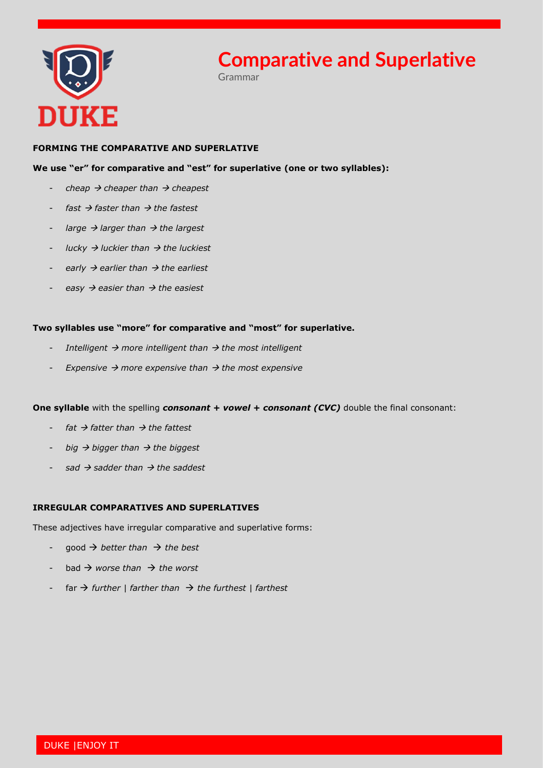

# **Comparative and Superlative**

Grammar

### **FORMING THE COMPARATIVE AND SUPERLATIVE**

### **We use "er" for comparative and "est" for superlative (one or two syllables):**

- *cheap* → *cheaper than* → *cheapest*
- *fast* → *faster than* → *the fastest*
- *large* → *larger than* → *the largest*
- *lucky* → *luckier than* → *the luckiest*
- *early* → *earlier than* → *the earliest*
- *easy* → *easier than* → *the easiest*

#### **Two syllables use "more" for comparative and "most" for superlative.**

- *Intelligent* → *more intelligent than* → *the most intelligent*
- *Expensive* → *more expensive than* → *the most expensive*

#### **One syllable** with the spelling *consonant + vowel + consonant (CVC)* double the final consonant:

- *fat* → *fatter than* → *the fattest*
- *big* → *bigger than* → *the biggest*
- *sad* → *sadder than* → *the saddest*

## **IRREGULAR COMPARATIVES AND SUPERLATIVES**

These adjectives have irregular comparative and superlative forms:

- good → *better than* → *the best*
- bad → *worse than* → *the worst*
- far → *further | farther than* → *the furthest | farthest*